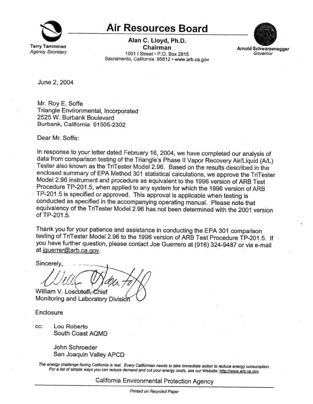

## **Air Resources Board**

Alan C. Lloyd, Ph.D. Chairman 1001 | Street · P.O. Box 2815 Sacramento, California 95812 · www.arb.ca.gov



Arnold Schwarzenegger Governor

June 2, 2004

Mr. Roy E. Soffe Triangle Environmental, Incorporated 2525 W. Burbank Boulevard Burbank, California 91505-2302

Dear Mr. Soffe:

In response to your letter dated February 16, 2004, we have completed our analysis of data from comparison testing of the Triangle's Phase II Vapor Recovery Air/Liquid (A/L) Tester also known as the TriTester Model 2.96. Based on the results described in the enclosed summary of EPA Method 301 statistical calculations, we approve the TriTester Model 2.96 instrument and procedure as equivalent to the 1996 version of ARB Test Procedure TP-201.5, when applied to any system for which the 1996 version of ARB TP-201.5 is specified or approved. This approval is applicable when testing is conducted as specified in the accompanying operating manual. Please note that equivalency of the TriTester Model 2.96 has not been determined with the 2001 version of TP-201.5.

Thank you for your patience and assistance in conducting the EPA 301 comparison testing of TriTester Model 2.96 to the 1996 version of ARB Test Procedure TP-201.5. If you have further question, please contact Joe Guerrero at (916) 324-9487 or via e-mail at jguerrer@arb.ca.gov.

Sincerely, William V. Loscutoff, Chief

Monitoring and Laboratory Division

Enclosure

Lou Roberto CC: South Coast AQMD

> John Schroeder San Joaquin Valley APCD

The energy challenge facing California is real. Every Californian needs to take immediate action to reduce energy consumption. For a list of simple ways you can reduce demand and cut your energy costs, see our Website: http://www.arb.ca.gov.

California Environmental Protection Agency